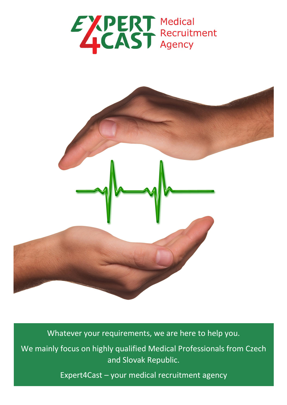



Whatever your requirements, we are here to help you.

We mainly focus on highly qualified Medical Professionals from Czech and Slovak Republic.

Expert4Cast – your medical recruitment agency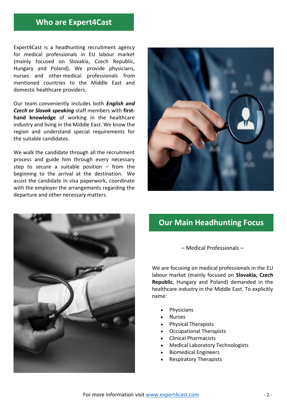## **Who are Expert4Cast**

Expert4Cast is a headhunting recruitment agency for medical professionals in EU labour market (mainly focused on Slovakia, Czech Republic, Hungary and Poland). We provide physicians, nurses and other medical professionals from mentioned countries to the Middle East and domestic healthcare providers.

Our team conveniently includes both *English and Czech or Slovak speaking* staff members with **firsthand knowledge** of working in the healthcare industry and living in the Middle East. We know the region and understand special requirements for the suitable candidates.

We walk the candidate through all the recruitment process and guide him through every necessary step to secure a suitable position – from the beginning to the arrival at the destination. We assist the candidate in visa paperwork, coordinate with the employer the arrangements regarding the departure and other necessary matters.





# **Our Main Headhunting Focus**

– Medical Professionals –

We are focusing on medical professionals in the EU labour market (mainly focused on **Slovakia, Czech Republic**, Hungary and Poland) demanded in the healthcare industry in the Middle East. To explicitly name:

- **Physicians**
- **Nurses**
- Physical Therapists
- Occupational Therapists
- Clinical Pharmacists
- Medical Laboratory Technologists
- Biomedical Engineers
- Respiratory Therapists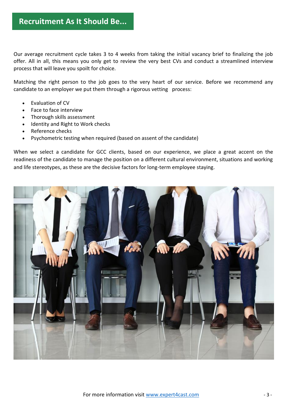Our average recruitment cycle takes 3 to 4 weeks from taking the initial vacancy brief to finalizing the job offer. All in all, this means you only get to review the very best CVs and conduct a streamlined interview process that will leave you spoilt for choice.

Matching the right person to the job goes to the very heart of our service. Before we recommend any candidate to an employer we put them through a rigorous vetting process:

- Evaluation of CV
- Face to face interview
- Thorough skills assessment
- Identity and Right to Work checks
- Reference checks
- Psychometric testing when required (based on assent of the candidate)

When we select a candidate for GCC clients, based on our experience, we place a great accent on the readiness of the candidate to manage the position on a different cultural environment, situations and working and life stereotypes, as these are the decisive factors for long-term employee staying.

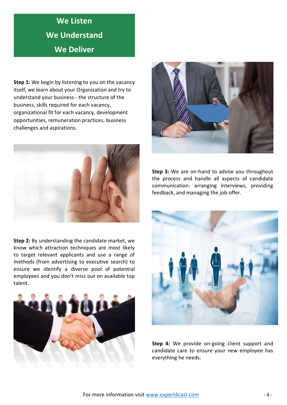# **We Listen We Understand We Deliver**

**Step 1:** We begin by listening to you on the vacancy itself, we learn about your Organization and try to understand your business - the structure of the business, skills required for each vacancy, organizational fit for each vacancy, development opportunities, remuneration practices, business challenges and aspirations.



**Step 2:** By understanding the candidate market, we know which attraction techniques are most likely to target relevant applicants and use a range of methods (from advertising to executive search) to ensure we identify a diverse pool of potential employees and you don't miss out on available top talent.





**Step 3:** We are on-hand to advise you throughout the process and handle all aspects of candidate communication: arranging interviews, providing feedback, and managing the job offer.



**Step 4:** We provide on-going client support and candidate care to ensure your new employee has everything he needs.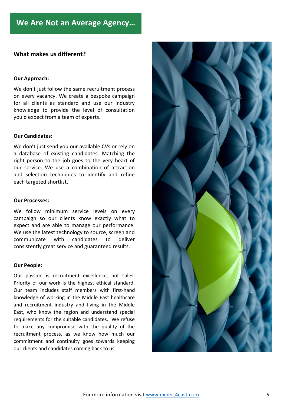### **What makes us different?**

#### **Our Approach:**

We don't just follow the same recruitment process on every vacancy. We create a bespoke campaign for all clients as standard and use our industry knowledge to provide the level of consultation you'd expect from a team of experts.

### **Our Candidates:**

We don't just send you our available CVs or rely on a database of existing candidates. Matching the right person to the job goes to the very heart of our service. We use a combination of attraction and selection techniques to identify and refine each targeted shortlist.

#### **Our Processes:**

We follow minimum service levels on every campaign so our clients know exactly what to expect and are able to manage our performance. We use the latest technology to source, screen and communicate with candidates to deliver consistently great service and guaranteed results.

#### **Our People:**

Our passion is recruitment excellence, not sales. Priority of our work is the highest ethical standard. Our team includes staff members with first-hand knowledge of working in the Middle East healthcare and recruitment industry and living in the Middle East, who know the region and understand special requirements for the suitable candidates. We refuse to make any compromise with the quality of the recruitment process, as we know how much our commitment and continuity goes towards keeping our clients and candidates coming back to us.